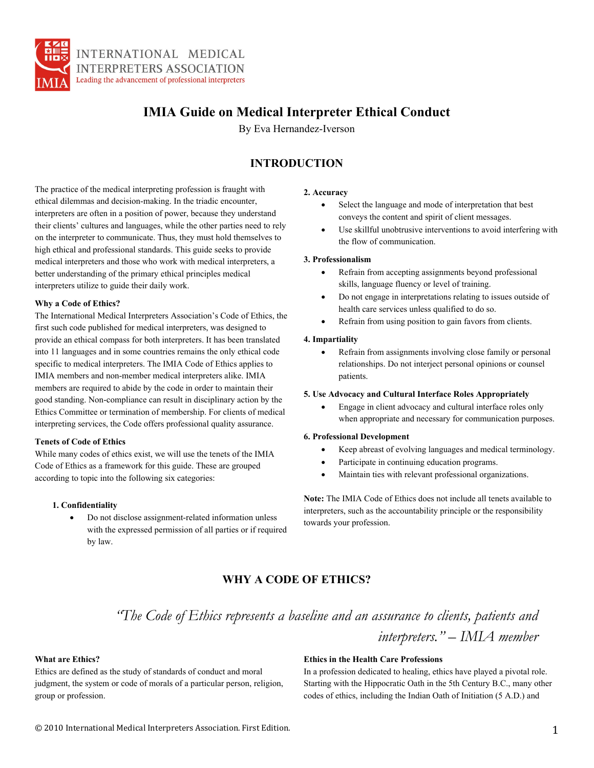

# **IMIA Guide on Medical Interpreter Ethical Conduct**

By Eva Hernandez-Iverson

### **INTRODUCTION**

The practice of the medical interpreting profession is fraught with ethical dilemmas and decision-making. In the triadic encounter, interpreters are often in a position of power, because they understand their clients' cultures and languages, while the other parties need to rely on the interpreter to communicate. Thus, they must hold themselves to high ethical and professional standards. This guide seeks to provide medical interpreters and those who work with medical interpreters, a better understanding of the primary ethical principles medical interpreters utilize to guide their daily work.

### **Why a Code of Ethics?**

The International Medical Interpreters Association's Code of Ethics, the first such code published for medical interpreters, was designed to provide an ethical compass for both interpreters. It has been translated into 11 languages and in some countries remains the only ethical code specific to medical interpreters. The IMIA Code of Ethics applies to IMIA members and non-member medical interpreters alike. IMIA members are required to abide by the code in order to maintain their good standing. Non-compliance can result in disciplinary action by the Ethics Committee or termination of membership. For clients of medical interpreting services, the Code offers professional quality assurance.

### **Tenets of Code of Ethics**

While many codes of ethics exist, we will use the tenets of the IMIA Code of Ethics as a framework for this guide. These are grouped according to topic into the following six categories:

### **1. Confidentiality**

• Do not disclose assignment-related information unless with the expressed permission of all parties or if required by law.

### **2. Accuracy**

- Select the language and mode of interpretation that best conveys the content and spirit of client messages.
- Use skillful unobtrusive interventions to avoid interfering with the flow of communication.

### **3. Professionalism**

- Refrain from accepting assignments beyond professional skills, language fluency or level of training.
- Do not engage in interpretations relating to issues outside of health care services unless qualified to do so.
- Refrain from using position to gain favors from clients.

### **4. Impartiality**

Refrain from assignments involving close family or personal relationships. Do not interject personal opinions or counsel patients.

### **5. Use Advocacy and Cultural Interface Roles Appropriately**

• Engage in client advocacy and cultural interface roles only when appropriate and necessary for communication purposes.

### **6. Professional Development**

- Keep abreast of evolving languages and medical terminology.
- Participate in continuing education programs.
- Maintain ties with relevant professional organizations.

**Note:** The IMIA Code of Ethics does not include all tenets available to interpreters, such as the accountability principle or the responsibility towards your profession.

## **WHY A CODE OF ETHICS?**

*"The Code of Ethics represents a baseline and an assurance to clients, patients and interpreters." – IMIA member* 

### **What are Ethics?**

Ethics are defined as the study of standards of conduct and moral judgment, the system or code of morals of a particular person, religion, group or profession.

### **Ethics in the Health Care Professions**

In a profession dedicated to healing, ethics have played a pivotal role. Starting with the Hippocratic Oath in the 5th Century B.C., many other codes of ethics, including the Indian Oath of Initiation (5 A.D.) and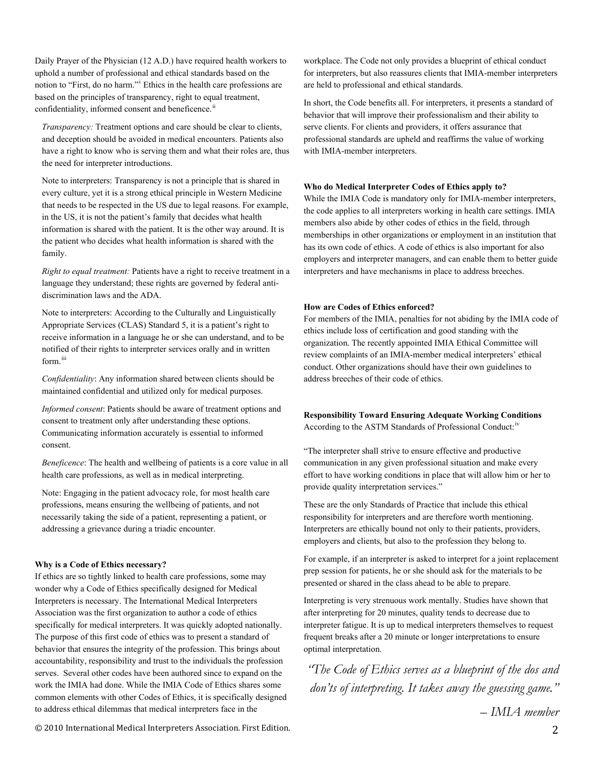Daily Prayer of the Physician (12 A.D.) have required health workers to uphold a number of professional and ethical standards based on the notion to "First, do no harm."[i](#page-10-0) Ethics in the health care professions are based on the principles of transparency, right to equal treatment, confidentiality, informed consent and beneficence.<sup>[ii](#page-10-1)</sup>

*Transparency:* Treatment options and care should be clear to clients, and deception should be avoided in medical encounters. Patients also have a right to know who is serving them and what their roles are, thus the need for interpreter introductions.

Note to interpreters: Transparency is not a principle that is shared in every culture, yet it is a strong ethical principle in Western Medicine that needs to be respected in the US due to legal reasons. For example, in the US, it is not the patient's family that decides what health information is shared with the patient. It is the other way around. It is the patient who decides what health information is shared with the family.

*Right to equal treatment:* Patients have a right to receive treatment in a language they understand; these rights are governed by federal antidiscrimination laws and the ADA.

Note to interpreters: According to the Culturally and Linguistically Appropriate Services (CLAS) Standard 5, it is a patient's right to receive information in a language he or she can understand, and to be notified of their rights to interpreter services orally and in written form.<sup>[iii](#page-10-1)</sup>

*Confidentiality*: Any information shared between clients should be maintained confidential and utilized only for medical purposes.

*Informed consent*: Patients should be aware of treatment options and consent to treatment only after understanding these options. Communicating information accurately is essential to informed consent.

*Beneficence*: The health and wellbeing of patients is a core value in all health care professions, as well as in medical interpreting.

Note: Engaging in the patient advocacy role, for most health care professions, means ensuring the wellbeing of patients, and not necessarily taking the side of a patient, representing a patient, or addressing a grievance during a triadic encounter.

### **Why is a Code of Ethics necessary?**

If ethics are so tightly linked to health care professions, some may wonder why a Code of Ethics specifically designed for Medical Interpreters is necessary. The International Medical Interpreters Association was the first organization to author a code of ethics specifically for medical interpreters. It was quickly adopted nationally. The purpose of this first code of ethics was to present a standard of behavior that ensures the integrity of the profession. This brings about accountability, responsibility and trust to the individuals the profession serves. Several other codes have been authored since to expand on the work the IMIA had done. While the IMIA Code of Ethics shares some common elements with other Codes of Ethics, it is specifically designed to address ethical dilemmas that medical interpreters face in the

workplace. The Code not only provides a blueprint of ethical conduct for interpreters, but also reassures clients that IMIA-member interpreters are held to professional and ethical standards.

In short, the Code benefits all. For interpreters, it presents a standard of behavior that will improve their professionalism and their ability to serve clients. For clients and providers, it offers assurance that professional standards are upheld and reaffirms the value of working with IMIA-member interpreters.

### **Who do Medical Interpreter Codes of Ethics apply to?**

While the IMIA Code is mandatory only for IMIA-member interpreters, the code applies to all interpreters working in health care settings. IMIA members also abide by other codes of ethics in the field, through memberships in other organizations or employment in an institution that has its own code of ethics. A code of ethics is also important for also employers and interpreter managers, and can enable them to better guide interpreters and have mechanisms in place to address breeches.

#### **How are Codes of Ethics enforced?**

For members of the IMIA, penalties for not abiding by the IMIA code of ethics include loss of certification and good standing with the organization. The recently appointed IMIA Ethical Committee will review complaints of an IMIA-member medical interpreters' ethical conduct. Other organizations should have their own guidelines to address breeches of their code of ethics.

**Responsibility Toward Ensuring Adequate Working Conditions**  According to the ASTM Standards of Professional Conduct:<sup>[iv](#page-10-1)</sup>

"The interpreter shall strive to ensure effective and productive communication in any given professional situation and make every effort to have working conditions in place that will allow him or her to provide quality interpretation services."

These are the only Standards of Practice that include this ethical responsibility for interpreters and are therefore worth mentioning. Interpreters are ethically bound not only to their patients, providers, employers and clients, but also to the profession they belong to.

For example, if an interpreter is asked to interpret for a joint replacement prep session for patients, he or she should ask for the materials to be presented or shared in the class ahead to be able to prepare.

Interpreting is very strenuous work mentally. Studies have shown that after interpreting for 20 minutes, quality tends to decrease due to interpreter fatigue. It is up to medical interpreters themselves to request frequent breaks after a 20 minute or longer interpretations to ensure optimal interpretation.

*"The Code of Ethics serves as a blueprint of the dos and don'ts of interpreting. It takes away the guessing game."* 

*– IMIA member* 

© 2010 International Medical Interpreters Association. First Edition. 2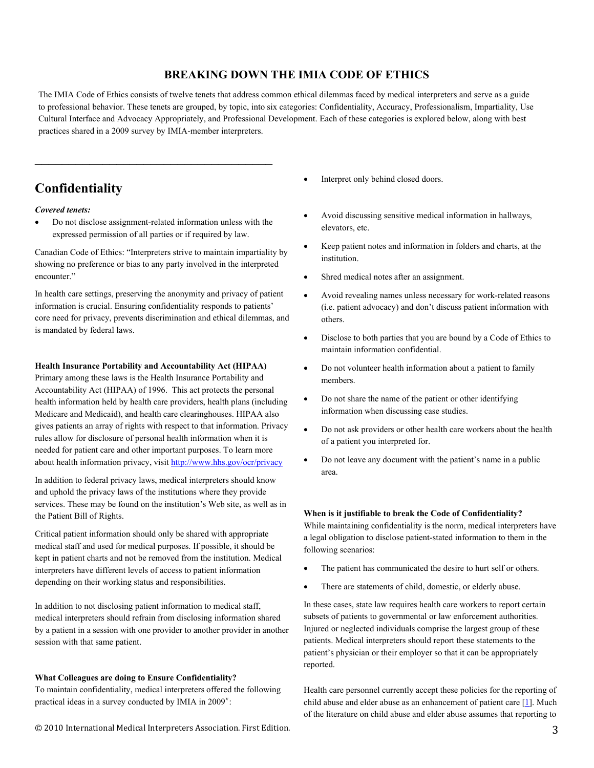## **BREAKING DOWN THE IMIA CODE OF ETHICS**

The IMIA Code of Ethics consists of twelve tenets that address common ethical dilemmas faced by medical interpreters and serve as a guide to professional behavior. These tenets are grouped, by topic, into six categories: Confidentiality, Accuracy, Professionalism, Impartiality, Use Cultural Interface and Advocacy Appropriately, and Professional Development. Each of these categories is explored below, along with best practices shared in a 2009 survey by IMIA-member interpreters.

# **Confidentiality**

### *Covered tenets:*

• Do not disclose assignment-related information unless with the expressed permission of all parties or if required by law.

**\_\_\_\_\_\_\_\_\_\_\_\_\_\_\_\_\_\_\_\_\_\_\_\_\_\_\_\_\_\_\_\_\_\_\_** 

Canadian Code of Ethics: "Interpreters strive to maintain impartiality by showing no preference or bias to any party involved in the interpreted encounter."

In health care settings, preserving the anonymity and privacy of patient information is crucial. Ensuring confidentiality responds to patients' core need for privacy, prevents discrimination and ethical dilemmas, and is mandated by federal laws.

### **Health Insurance Portability and Accountability Act (HIPAA)**

Primary among these laws is the Health Insurance Portability and Accountability Act (HIPAA) of 1996. This act protects the personal health information held by health care providers, health plans (including Medicare and Medicaid), and health care clearinghouses. HIPAA also gives patients an array of rights with respect to that information. Privacy rules allow for disclosure of personal health information when it is needed for patient care and other important purposes. To learn more about health information privacy, visit<http://www.hhs.gov/ocr/privacy>

In addition to federal privacy laws, medical interpreters should know and uphold the privacy laws of the institutions where they provide services. These may be found on the institution's Web site, as well as in the Patient Bill of Rights.

Critical patient information should only be shared with appropriate medical staff and used for medical purposes. If possible, it should be kept in patient charts and not be removed from the institution. Medical interpreters have different levels of access to patient information depending on their working status and responsibilities.

In addition to not disclosing patient information to medical staff, medical interpreters should refrain from disclosing information shared by a patient in a session with one provider to another provider in another session with that same patient.

### **What Colleagues are doing to Ensure Confidentiality?**

To maintain confidentiality, medical interpreters offered the following practical ideas in a sur[v](#page-10-2)ey conducted by IMIA in  $2009^{\circ}$ :

- Interpret only behind closed doors.
- Avoid discussing sensitive medical information in hallways, elevators, etc.
- Keep patient notes and information in folders and charts, at the institution.
- Shred medical notes after an assignment.
- Avoid revealing names unless necessary for work-related reasons (i.e. patient advocacy) and don't discuss patient information with others.
- Disclose to both parties that you are bound by a Code of Ethics to maintain information confidential.
- Do not volunteer health information about a patient to family members.
- Do not share the name of the patient or other identifying information when discussing case studies.
- Do not ask providers or other health care workers about the health of a patient you interpreted for.
- Do not leave any document with the patient's name in a public area.

### **When is it justifiable to break the Code of Confidentiality?**

While maintaining confidentiality is the norm, medical interpreters have a legal obligation to disclose patient-stated information to them in the following scenarios:

- The patient has communicated the desire to hurt self or others.
- There are statements of child, domestic, or elderly abuse.

In these cases, state law requires health care workers to report certain subsets of patients to governmental or law enforcement authorities. Injured or neglected individuals comprise the largest group of these patients. Medical interpreters should report these statements to the patient's physician or their employer so that it can be appropriately reported.

Health care personnel currently accept these policies for the reporting of child abuse and elder abuse as an enhancement of patient care  $[1]$ . Much of the literature on child abuse and elder abuse assumes that reporting to

© 2010 International Medical Interpreters Association. First Edition. 3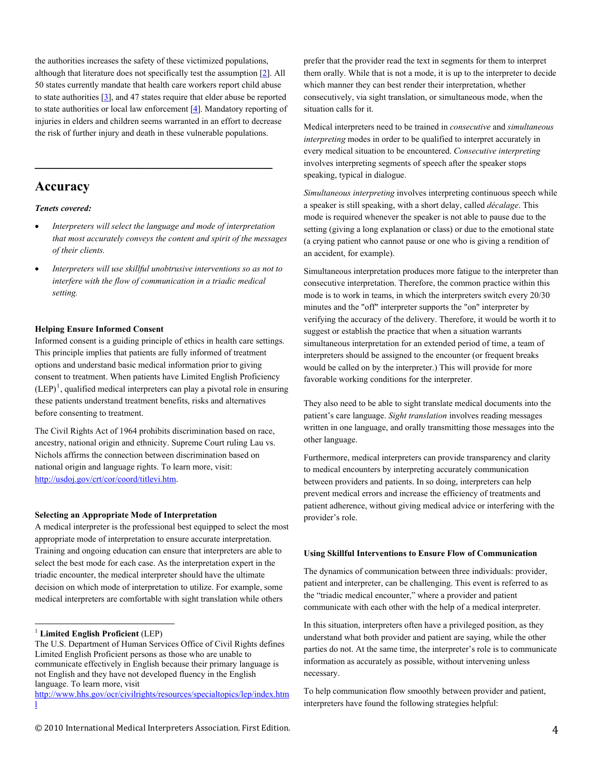the authorities increases the safety of these victimized populations, although that literature does not specifically test the assumption [[2](http://virtualmentor.ama-assn.org/2007/12/oped1-0712.html#2#2)]. All 50 states currently mandate that health care workers report child abuse to state authorities  $[3]$ , and 47 states require that elder abuse be reported to state authorities or local law enforcement [\[4\]](http://virtualmentor.ama-assn.org/2007/12/oped1-0712.html#4#4). Mandatory reporting of injuries in elders and children seems warranted in an effort to decrease the risk of further injury and death in these vulnerable populations.

### **Accuracy**

### *Tenets covered:*

- *Interpreters will select the language and mode of interpretation that most accurately conveys the content and spirit of the messages of their clients.*
- *Interpreters will use skillful unobtrusive interventions so as not to interfere with the flow of communication in a triadic medical setting.*

### **Helping Ensure Informed Consent**

Informed consent is a guiding principle of ethics in health care settings. This principle implies that patients are fully informed of treatment options and understand basic medical information prior to giving consent to treatment. When patients have Limited English Proficiency  $(LEP)^1$  $(LEP)^1$ , qualified medical interpreters can play a pivotal role in ensuring these patients understand treatment benefits, risks and alternatives before consenting to treatment.

The Civil Rights Act of 1964 prohibits discrimination based on race, ancestry, national origin and ethnicity. Supreme Court ruling Lau vs. Nichols affirms the connection between discrimination based on national origin and language rights. To learn more, visit: [http://usdoj.gov/crt/cor/coord/titlevi.htm.](http://usdoj.gov/crt/cor/coord/titlevi.htm)

### **Selecting an Appropriate Mode of Interpretation**

A medical interpreter is the professional best equipped to select the most appropriate mode of interpretation to ensure accurate interpretation. Training and ongoing education can ensure that interpreters are able to select the best mode for each case. As the interpretation expert in the triadic encounter, the medical interpreter should have the ultimate decision on which mode of interpretation to utilize. For example, some medical interpreters are comfortable with sight translation while others

prefer that the provider read the text in segments for them to interpret them orally. While that is not a mode, it is up to the interpreter to decide which manner they can best render their interpretation, whether consecutively, via sight translation, or simultaneous mode, when the situation calls for it.

Medical interpreters need to be trained in *consecutive* and *simultaneous interpreting* modes in order to be qualified to interpret accurately in every medical situation to be encountered. *Consecutive interpreting* involves interpreting segments of speech after the speaker stops speaking, typical in dialogue.

*Simultaneous interpreting* involves interpreting continuous speech while a speaker is still speaking, with a short delay, called *décalage*. This mode is required whenever the speaker is not able to pause due to the setting (giving a long explanation or class) or due to the emotional state (a crying patient who cannot pause or one who is giving a rendition of an accident, for example).

Simultaneous interpretation produces more fatigue to the interpreter than consecutive interpretation. Therefore, the common practice within this mode is to work in teams, in which the interpreters switch every 20/30 minutes and the "off" interpreter supports the "on" interpreter by verifying the accuracy of the delivery. Therefore, it would be worth it to suggest or establish the practice that when a situation warrants simultaneous interpretation for an extended period of time, a team of interpreters should be assigned to the encounter (or frequent breaks would be called on by the interpreter.) This will provide for more favorable working conditions for the interpreter.

They also need to be able to sight translate medical documents into the patient's care language. *Sight translation* involves reading messages written in one language, and orally transmitting those messages into the other language.

Furthermore, medical interpreters can provide transparency and clarity to medical encounters by interpreting accurately communication between providers and patients. In so doing, interpreters can help prevent medical errors and increase the efficiency of treatments and patient adherence, without giving medical advice or interfering with the provider's role.

#### **Using Skillful Interventions to Ensure Flow of Communication**

The dynamics of communication between three individuals: provider, patient and interpreter, can be challenging. This event is referred to as the "triadic medical encounter," where a provider and patient communicate with each other with the help of a medical interpreter.

In this situation, interpreters often have a privileged position, as they understand what both provider and patient are saying, while the other parties do not. At the same time, the interpreter's role is to communicate information as accurately as possible, without intervening unless necessary.

To help communication flow smoothly between provider and patient, interpreters have found the following strategies helpful:

 <sup>1</sup> **Limited English Proficient** (LEP)

<span id="page-3-0"></span>The U.S. Department of Human Services Office of Civil Rights defines Limited English Proficient persons as those who are unable to communicate effectively in English because their primary language is not English and they have not developed fluency in the English language. To learn more, visit

http://www.hhs.gov/ocr/civilrights/resources/specialtopics/lep/index.htm l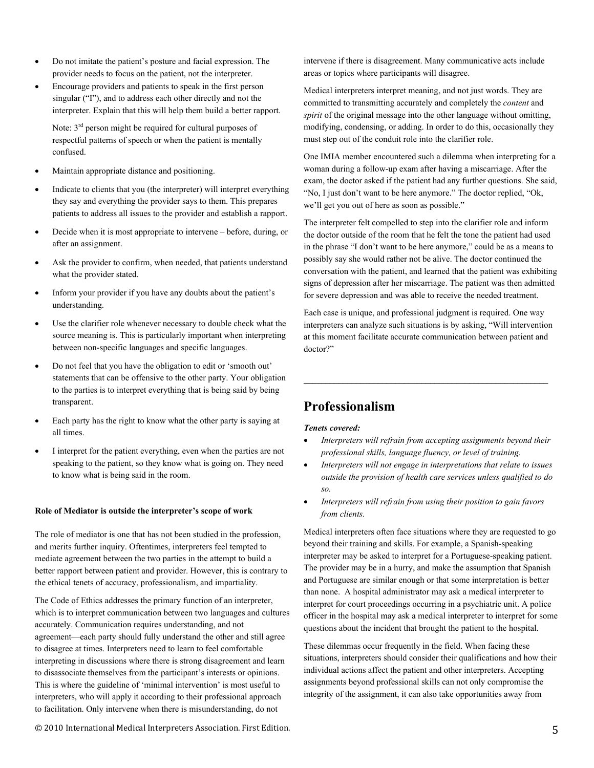- Do not imitate the patient's posture and facial expression. The provider needs to focus on the patient, not the interpreter.
- Encourage providers and patients to speak in the first person singular ("I"), and to address each other directly and not the interpreter. Explain that this will help them build a better rapport.

Note:  $3<sup>rd</sup>$  person might be required for cultural purposes of respectful patterns of speech or when the patient is mentally confused.

- Maintain appropriate distance and positioning.
- Indicate to clients that you (the interpreter) will interpret everything they say and everything the provider says to them. This prepares patients to address all issues to the provider and establish a rapport.
- Decide when it is most appropriate to intervene before, during, or after an assignment.
- Ask the provider to confirm, when needed, that patients understand what the provider stated.
- Inform your provider if you have any doubts about the patient's understanding.
- Use the clarifier role whenever necessary to double check what the source meaning is. This is particularly important when interpreting between non-specific languages and specific languages.
- Do not feel that you have the obligation to edit or 'smooth out' statements that can be offensive to the other party. Your obligation to the parties is to interpret everything that is being said by being transparent.
- Each party has the right to know what the other party is saying at all times.
- I interpret for the patient everything, even when the parties are not speaking to the patient, so they know what is going on. They need to know what is being said in the room.

### **Role of Mediator is outside the interpreter's scope of work**

The role of mediator is one that has not been studied in the profession, and merits further inquiry. Oftentimes, interpreters feel tempted to mediate agreement between the two parties in the attempt to build a better rapport between patient and provider. However, this is contrary to the ethical tenets of accuracy, professionalism, and impartiality.

The Code of Ethics addresses the primary function of an interpreter, which is to interpret communication between two languages and cultures accurately. Communication requires understanding, and not agreement—each party should fully understand the other and still agree to disagree at times. Interpreters need to learn to feel comfortable interpreting in discussions where there is strong disagreement and learn to disassociate themselves from the participant's interests or opinions. This is where the guideline of 'minimal intervention' is most useful to interpreters, who will apply it according to their professional approach to facilitation. Only intervene when there is misunderstanding, do not

intervene if there is disagreement. Many communicative acts include areas or topics where participants will disagree.

Medical interpreters interpret meaning, and not just words. They are committed to transmitting accurately and completely the *content* and *spirit* of the original message into the other language without omitting, modifying, condensing, or adding. In order to do this, occasionally they must step out of the conduit role into the clarifier role.

One IMIA member encountered such a dilemma when interpreting for a woman during a follow-up exam after having a miscarriage. After the exam, the doctor asked if the patient had any further questions. She said, "No, I just don't want to be here anymore." The doctor replied, "Ok, we'll get you out of here as soon as possible."

The interpreter felt compelled to step into the clarifier role and inform the doctor outside of the room that he felt the tone the patient had used in the phrase "I don't want to be here anymore," could be as a means to possibly say she would rather not be alive. The doctor continued the conversation with the patient, and learned that the patient was exhibiting signs of depression after her miscarriage. The patient was then admitted for severe depression and was able to receive the needed treatment.

Each case is unique, and professional judgment is required. One way interpreters can analyze such situations is by asking, "Will intervention at this moment facilitate accurate communication between patient and doctor?"

**\_\_\_\_\_\_\_\_\_\_\_\_\_\_\_\_\_\_\_\_\_\_\_\_\_\_\_\_\_\_\_\_\_\_\_\_\_\_\_\_\_\_\_\_\_\_\_\_\_\_\_\_\_\_\_\_** 

# **Professionalism**

### *Tenets covered:*

- *Interpreters will refrain from accepting assignments beyond their professional skills, language fluency, or level of training.*
- *Interpreters will not engage in interpretations that relate to issues outside the provision of health care services unless qualified to do so.*
- *Interpreters will refrain from using their position to gain favors from clients.*

Medical interpreters often face situations where they are requested to go beyond their training and skills. For example, a Spanish-speaking interpreter may be asked to interpret for a Portuguese-speaking patient. The provider may be in a hurry, and make the assumption that Spanish and Portuguese are similar enough or that some interpretation is better than none. A hospital administrator may ask a medical interpreter to interpret for court proceedings occurring in a psychiatric unit. A police officer in the hospital may ask a medical interpreter to interpret for some questions about the incident that brought the patient to the hospital.

These dilemmas occur frequently in the field. When facing these situations, interpreters should consider their qualifications and how their individual actions affect the patient and other interpreters. Accepting assignments beyond professional skills can not only compromise the integrity of the assignment, it can also take opportunities away from

© 2010 International Medical Interpreters Association. First Edition. 5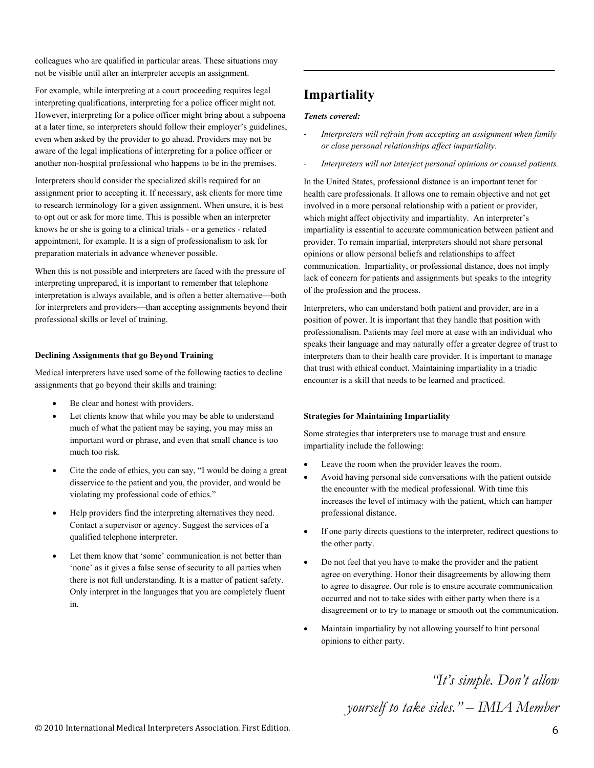colleagues who are qualified in particular areas. These situations may not be visible until after an interpreter accepts an assignment.

For example, while interpreting at a court proceeding requires legal interpreting qualifications, interpreting for a police officer might not. However, interpreting for a police officer might bring about a subpoena at a later time, so interpreters should follow their employer's guidelines, even when asked by the provider to go ahead. Providers may not be aware of the legal implications of interpreting for a police officer or another non-hospital professional who happens to be in the premises.

Interpreters should consider the specialized skills required for an assignment prior to accepting it. If necessary, ask clients for more time to research terminology for a given assignment. When unsure, it is best to opt out or ask for more time. This is possible when an interpreter knows he or she is going to a clinical trials - or a genetics - related appointment, for example. It is a sign of professionalism to ask for preparation materials in advance whenever possible.

When this is not possible and interpreters are faced with the pressure of interpreting unprepared, it is important to remember that telephone interpretation is always available, and is often a better alternative—both for interpreters and providers—than accepting assignments beyond their professional skills or level of training.

### **Declining Assignments that go Beyond Training**

Medical interpreters have used some of the following tactics to decline assignments that go beyond their skills and training:

- Be clear and honest with providers.
- Let clients know that while you may be able to understand much of what the patient may be saying, you may miss an important word or phrase, and even that small chance is too much too risk.
- Cite the code of ethics, you can say, "I would be doing a great disservice to the patient and you, the provider, and would be violating my professional code of ethics."
- Help providers find the interpreting alternatives they need. Contact a supervisor or agency. Suggest the services of a qualified telephone interpreter.
- Let them know that 'some' communication is not better than 'none' as it gives a false sense of security to all parties when there is not full understanding. It is a matter of patient safety. Only interpret in the languages that you are completely fluent in.

# **Impartiality**

### *Tenets covered:*

‐ *Interpreters will refrain from accepting an assignment when family or close personal relationships affect impartiality.* 

**\_\_\_\_\_\_\_\_\_\_\_\_\_\_\_\_\_\_\_\_\_\_\_\_\_\_\_\_\_\_\_\_\_\_\_\_\_** 

‐ *Interpreters will not interject personal opinions or counsel patients.* 

In the United States, professional distance is an important tenet for health care professionals. It allows one to remain objective and not get involved in a more personal relationship with a patient or provider, which might affect objectivity and impartiality. An interpreter's impartiality is essential to accurate communication between patient and provider. To remain impartial, interpreters should not share personal opinions or allow personal beliefs and relationships to affect communication. Impartiality, or professional distance, does not imply lack of concern for patients and assignments but speaks to the integrity of the profession and the process.

Interpreters, who can understand both patient and provider, are in a position of power. It is important that they handle that position with professionalism. Patients may feel more at ease with an individual who speaks their language and may naturally offer a greater degree of trust to interpreters than to their health care provider. It is important to manage that trust with ethical conduct. Maintaining impartiality in a triadic encounter is a skill that needs to be learned and practiced.

### **Strategies for Maintaining Impartiality**

Some strategies that interpreters use to manage trust and ensure impartiality include the following:

- Leave the room when the provider leaves the room.
- Avoid having personal side conversations with the patient outside the encounter with the medical professional. With time this increases the level of intimacy with the patient, which can hamper professional distance.
- If one party directs questions to the interpreter, redirect questions to the other party.
- Do not feel that you have to make the provider and the patient agree on everything. Honor their disagreements by allowing them to agree to disagree. Our role is to ensure accurate communication occurred and not to take sides with either party when there is a disagreement or to try to manage or smooth out the communication.
- Maintain impartiality by not allowing yourself to hint personal opinions to either party.

*"It's simple. Don't allow* 

*yourself to take sides." – IMIA Member*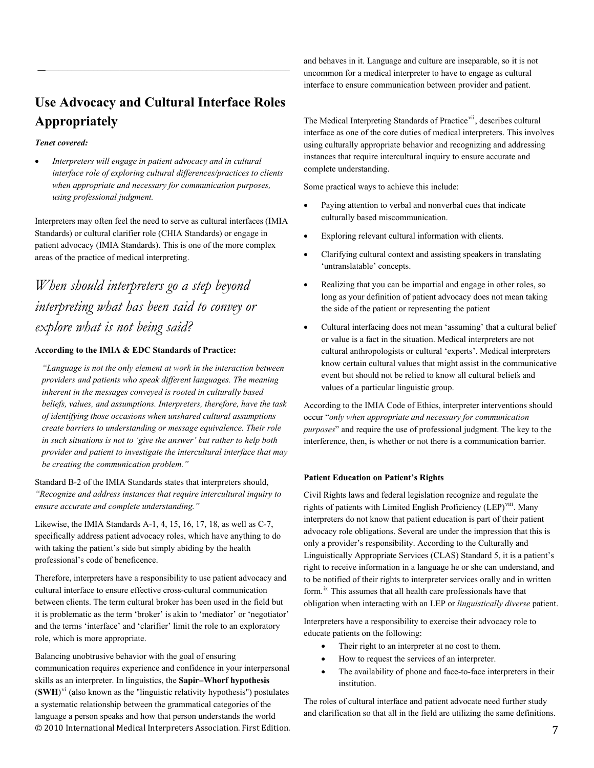# **Use Advocacy and Cultural Interface Roles Appropriately**

*\_*\_\_\_\_\_\_\_\_\_\_\_\_\_\_\_\_\_\_\_\_\_\_\_\_\_\_\_\_\_\_\_\_\_\_\_\_\_\_\_\_\_\_\_\_\_\_\_\_\_\_\_\_\_\_\_\_

### *Tenet covered:*

• *Interpreters will engage in patient advocacy and in cultural interface role of exploring cultural differences/practices to clients when appropriate and necessary for communication purposes, using professional judgment.* 

Interpreters may often feel the need to serve as cultural interfaces (IMIA Standards) or cultural clarifier role (CHIA Standards) or engage in patient advocacy (IMIA Standards). This is one of the more complex areas of the practice of medical interpreting.

# *When should interpreters go a step beyond interpreting what has been said to convey or explore what is not being said?*

### **According to the IMIA & EDC Standards of Practice:**

*"Language is not the only element at work in the interaction between providers and patients who speak different languages. The meaning inherent in the messages conveyed is rooted in culturally based beliefs, values, and assumptions. Interpreters, therefore, have the task of identifying those occasions when unshared cultural assumptions create barriers to understanding or message equivalence. Their role in such situations is not to 'give the answer' but rather to help both provider and patient to investigate the intercultural interface that may be creating the communication problem."* 

Standard B-2 of the IMIA Standards states that interpreters should, *"Recognize and address instances that require intercultural inquiry to ensure accurate and complete understanding."* 

Likewise, the IMIA Standards A-1, 4, 15, 16, 17, 18, as well as C-7, specifically address patient advocacy roles, which have anything to do with taking the patient's side but simply abiding by the health professional's code of beneficence.

Therefore, interpreters have a responsibility to use patient advocacy and cultural interface to ensure effective cross-cultural communication between clients. The term cultural broker has been used in the field but it is problematic as the term 'broker' is akin to 'mediator' or 'negotiator' and the terms 'interface' and 'clarifier' limit the role to an exploratory role, which is more appropriate.

© 2010 International Medical Interpreters Association. First Edition. 7 Balancing unobtrusive behavior with the goal of ensuring communication requires experience and confidence in your interpersonal skills as an interpreter. In [linguistics,](http://en.wikipedia.org/wiki/Linguistics) the **Sapir–Whorf hypothesis**  $(SWH)$ <sup>[vi](#page-10-2)</sup> (also known as the ["linguistic relativity hypothesis](http://en.wikipedia.org/wiki/Linguistic_relativity_hypothesis)") postulates a systematic relationship between the [grammatical categories](http://en.wikipedia.org/wiki/Grammatical_category) of the [language](http://en.wikipedia.org/wiki/Language) a person speaks and how that person understands the world

and behaves in it. Language and culture are inseparable, so it is not uncommon for a medical interpreter to have to engage as cultural interface to ensure communication between provider and patient.

The Medical Interpreting Standards of Practice<sup>[vii](#page-10-2)</sup>, describes cultural interface as one of the core duties of medical interpreters. This involves using culturally appropriate behavior and recognizing and addressing instances that require intercultural inquiry to ensure accurate and complete understanding.

Some practical ways to achieve this include:

- Paying attention to verbal and nonverbal cues that indicate culturally based miscommunication.
- Exploring relevant cultural information with clients.
- Clarifying cultural context and assisting speakers in translating 'untranslatable' concepts.
- Realizing that you can be impartial and engage in other roles, so long as your definition of patient advocacy does not mean taking the side of the patient or representing the patient
- Cultural interfacing does not mean 'assuming' that a cultural belief or value is a fact in the situation. Medical interpreters are not cultural anthropologists or cultural 'experts'. Medical interpreters know certain cultural values that might assist in the communicative event but should not be relied to know all cultural beliefs and values of a particular linguistic group.

According to the IMIA Code of Ethics, interpreter interventions should occur "*only when appropriate and necessary for communication purposes*" and require the use of professional judgment. The key to the interference, then, is whether or not there is a communication barrier.

### **Patient Education on Patient's Rights**

Civil Rights laws and federal legislation recognize and regulate the rights of patients with Limited English Proficiency (LEP)<sup>[viii](#page-10-2)</sup>. Many interpreters do not know that patient education is part of their patient advocacy role obligations. Several are under the impression that this is only a provider's responsibility. According to the Culturally and Linguistically Appropriate Services (CLAS) Standard 5, it is a patient's right to receive information in a language he or she can understand, and to be notified of their rights to interpreter services orally and in written form.<sup>[ix](#page-10-2)</sup> This assumes that all health care professionals have that obligation when interacting with an LEP or *linguistically diverse* patient.

Interpreters have a responsibility to exercise their advocacy role to educate patients on the following:

- Their right to an interpreter at no cost to them.
- How to request the services of an interpreter.
- The availability of phone and face-to-face interpreters in their institution.

The roles of cultural interface and patient advocate need further study and clarification so that all in the field are utilizing the same definitions.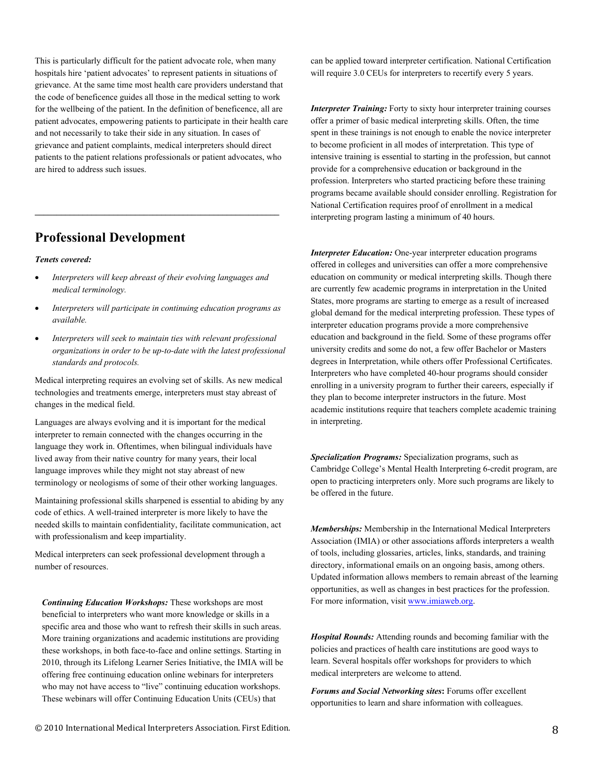This is particularly difficult for the patient advocate role, when many hospitals hire 'patient advocates' to represent patients in situations of grievance. At the same time most health care providers understand that the code of beneficence guides all those in the medical setting to work for the wellbeing of the patient. In the definition of beneficence, all are patient advocates, empowering patients to participate in their health care and not necessarily to take their side in any situation. In cases of grievance and patient complaints, medical interpreters should direct patients to the patient relations professionals or patient advocates, who are hired to address such issues.

# **Professional Development**

### *Tenets covered:*

- *Interpreters will keep abreast of their evolving languages and medical terminology.*
- *Interpreters will participate in continuing education programs as available.*
- *Interpreters will seek to maintain ties with relevant professional organizations in order to be up-to-date with the latest professional standards and protocols.*

Medical interpreting requires an evolving set of skills. As new medical technologies and treatments emerge, interpreters must stay abreast of changes in the medical field.

Languages are always evolving and it is important for the medical interpreter to remain connected with the changes occurring in the language they work in. Oftentimes, when bilingual individuals have lived away from their native country for many years, their local language improves while they might not stay abreast of new terminology or neologisms of some of their other working languages.

Maintaining professional skills sharpened is essential to abiding by any code of ethics. A well-trained interpreter is more likely to have the needed skills to maintain confidentiality, facilitate communication, act with professionalism and keep impartiality.

Medical interpreters can seek professional development through a number of resources.

*Continuing Education Workshops:* These workshops are most beneficial to interpreters who want more knowledge or skills in a specific area and those who want to refresh their skills in such areas. More training organizations and academic institutions are providing these workshops, in both face-to-face and online settings. Starting in 2010, through its Lifelong Learner Series Initiative, the IMIA will be offering free continuing education online webinars for interpreters who may not have access to "live" continuing education workshops. These webinars will offer Continuing Education Units (CEUs) that

can be applied toward interpreter certification. National Certification will require 3.0 CEUs for interpreters to recertify every 5 years.

*Interpreter Training:* Forty to sixty hour interpreter training courses offer a primer of basic medical interpreting skills. Often, the time spent in these trainings is not enough to enable the novice interpreter to become proficient in all modes of interpretation. This type of intensive training is essential to starting in the profession, but cannot provide for a comprehensive education or background in the profession. Interpreters who started practicing before these training programs became available should consider enrolling. Registration for National Certification requires proof of enrollment in a medical interpreting program lasting a minimum of 40 hours.

*Interpreter Education:* One-year interpreter education programs offered in colleges and universities can offer a more comprehensive education on community or medical interpreting skills. Though there are currently few academic programs in interpretation in the United States, more programs are starting to emerge as a result of increased global demand for the medical interpreting profession. These types of interpreter education programs provide a more comprehensive education and background in the field. Some of these programs offer university credits and some do not, a few offer Bachelor or Masters degrees in Interpretation, while others offer Professional Certificates. Interpreters who have completed 40-hour programs should consider enrolling in a university program to further their careers, especially if they plan to become interpreter instructors in the future. Most academic institutions require that teachers complete academic training in interpreting.

*Specialization Programs:* Specialization programs, such as Cambridge College's Mental Health Interpreting 6-credit program, are open to practicing interpreters only. More such programs are likely to be offered in the future.

*Memberships:* Membership in the International Medical Interpreters Association (IMIA) or other associations affords interpreters a wealth of tools, including glossaries, articles, links, standards, and training directory, informational emails on an ongoing basis, among others. Updated information allows members to remain abreast of the learning opportunities, as well as changes in best practices for the profession. For more information, visit [www.imiaweb.org.](http://www.imiaweb.org/)

*Hospital Rounds:* Attending rounds and becoming familiar with the policies and practices of health care institutions are good ways to learn. Several hospitals offer workshops for providers to which medical interpreters are welcome to attend.

*Forums and Social Networking sites***:** Forums offer excellent opportunities to learn and share information with colleagues.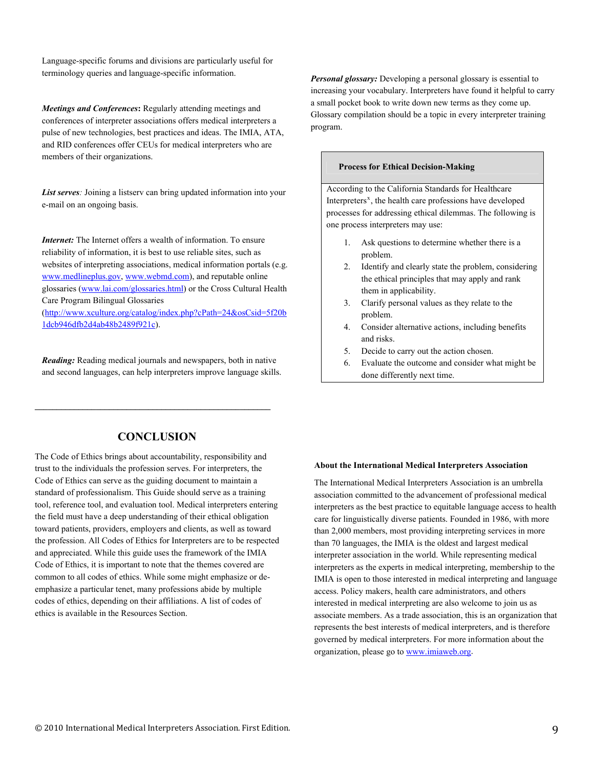Language-specific forums and divisions are particularly useful for terminology queries and language-specific information.

*Meetings and Conferences***:** Regularly attending meetings and conferences of interpreter associations offers medical interpreters a pulse of new technologies, best practices and ideas. The IMIA, ATA, and RID conferences offer CEUs for medical interpreters who are members of their organizations.

*List serves:* Joining a listserv can bring updated information into your e-mail on an ongoing basis.

*Internet:* The Internet offers a wealth of information. To ensure reliability of information, it is best to use reliable sites, such as websites of interpreting associations, medical information portals (e.g. [www.medlineplus.gov,](http://www.medlineplus.gov/) [www.webmd.com](http://www.webmd.com/)), and reputable online glossaries [\(www.lai.com/glossaries.html](http://www.lai.com/glossaries.html)) or the Cross Cultural Health Care Program Bilingual Glossaries

[\(http://www.xculture.org/catalog/index.php?cPath=24&osCsid=5f20b](http://www.xculture.org/catalog/index.php?cPath=24&osCsid=5f20b1dcb946dfb2d4ab48b2489f921c) [1dcb946dfb2d4ab48b2489f921c](http://www.xculture.org/catalog/index.php?cPath=24&osCsid=5f20b1dcb946dfb2d4ab48b2489f921c)).

*Reading:* Reading medical journals and newspapers, both in native and second languages, can help interpreters improve language skills. *Personal glossary:* Developing a personal glossary is essential to increasing your vocabulary. Interpreters have found it helpful to carry a small pocket book to write down new terms as they come up. Glossary compilation should be a topic in every interpreter training program.

### **Process for Ethical Decision-Making**

According to the California Standards for Healthcare Interpreters<sup>[x](#page-10-2)</sup>, the health care professions have developed processes for addressing ethical dilemmas. The following is one process interpreters may use:

- 1. Ask questions to determine whether there is a problem.
- 2. Identify and clearly state the problem, considering the ethical principles that may apply and rank them in applicability.
- 3. Clarify personal values as they relate to the problem.
- 4. Consider alternative actions, including benefits and risks.
- 5. Decide to carry out the action chosen.
- 6. Evaluate the outcome and consider what might be done differently next time.

### **CONCLUSION**

**\_\_\_\_\_\_\_\_\_\_\_\_\_\_\_\_\_\_\_\_\_\_\_\_\_\_\_\_\_\_\_\_\_\_\_\_\_\_\_\_\_\_\_\_\_\_\_\_\_\_\_\_\_\_** 

The Code of Ethics brings about accountability, responsibility and trust to the individuals the profession serves. For interpreters, the Code of Ethics can serve as the guiding document to maintain a standard of professionalism. This Guide should serve as a training tool, reference tool, and evaluation tool. Medical interpreters entering the field must have a deep understanding of their ethical obligation toward patients, providers, employers and clients, as well as toward the profession. All Codes of Ethics for Interpreters are to be respected and appreciated. While this guide uses the framework of the IMIA Code of Ethics, it is important to note that the themes covered are common to all codes of ethics. While some might emphasize or deemphasize a particular tenet, many professions abide by multiple codes of ethics, depending on their affiliations. A list of codes of ethics is available in the Resources Section.

#### **About the International Medical Interpreters Association**

The International Medical Interpreters Association is an umbrella association committed to the advancement of professional medical interpreters as the best practice to equitable language access to health care for linguistically diverse patients. Founded in 1986, with more than 2,000 members, most providing interpreting services in more than 70 languages, the IMIA is the oldest and largest medical interpreter association in the world. While representing medical interpreters as the experts in medical interpreting, membership to the IMIA is open to those interested in medical interpreting and language access. Policy makers, health care administrators, and others interested in medical interpreting are also welcome to join us as associate members. As a trade association, this is an organization that represents the best interests of medical interpreters, and is therefore governed by medical interpreters. For more information about the organization, please go to **[www.imiaweb.org.](http://www.imiaweb.org/)**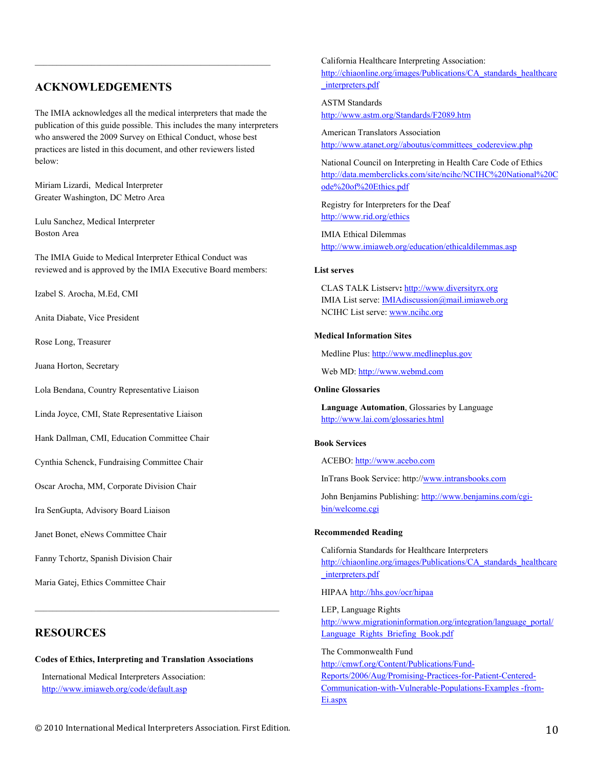### **ACKNOWLEDGEMENTS**

The IMIA acknowledges all the medical interpreters that made the publication of this guide possible. This includes the many interpreters who answered the 2009 Survey on Ethical Conduct, whose best practices are listed in this document, and other reviewers listed below:

Miriam Lizardi, Medical Interpreter Greater Washington, DC Metro Area

Lulu Sanchez, Medical Interpreter Boston Area

The IMIA Guide to Medical Interpreter Ethical Conduct was reviewed and is approved by the IMIA Executive Board members:

Izabel S. Arocha, M.Ed, CMI

Anita Diabate, Vice President

Rose Long, Treasurer

Juana Horton, Secretary

Lola Bendana, Country Representative Liaison

Linda Joyce, CMI, State Representative Liaison

Hank Dallman, CMI, Education Committee Chair

Cynthia Schenck, Fundraising Committee Chair

Oscar Arocha, MM, Corporate Division Chair

Ira SenGupta, Advisory Board Liaison

Janet Bonet, eNews Committee Chair

Fanny Tchortz, Spanish Division Chair

Maria Gatej, Ethics Committee Chair

### **RESOURCES**

#### **Codes of Ethics, Interpreting and Translation Associations**

 $\mathcal{L}_\text{max}$  and the contract of the contract of the contract of the contract of the contract of the contract of

International Medical Interpreters Association: <http://www.imiaweb.org/code/default.asp>

California Healthcare Interpreting Association: [http://chiaonline.org/images/Publications/CA\\_standards\\_healthcare](http://chiaonline.org/images/Publications/CA_standards_healthcare_interpreters.pdf) [\\_interpreters.pdf](http://chiaonline.org/images/Publications/CA_standards_healthcare_interpreters.pdf)

ASTM Standards

<http://www.astm.org/Standards/F2089.htm>

American Translators Association [http://www.atanet.org//aboutus/committees\\_codereview.php](http://www.atanet.org//aboutus/committees_codereview.php)

National Council on Interpreting in Health Care Code of Ethics [http://data.memberclicks.com/site/ncihc/NCIHC%20National%20C](http://data.memberclicks.com/site/ncihc/NCIHC%20National%20Code%20of%20Ethics.pdf) [ode%20of%20Ethics.pdf](http://data.memberclicks.com/site/ncihc/NCIHC%20National%20Code%20of%20Ethics.pdf)

Registry for Interpreters for the Deaf <http://www.rid.org/ethics>

IMIA Ethical Dilemmas <http://www.imiaweb.org/education/ethicaldilemmas.asp>

### **List serves**

CLAS TALK Listserv**:** [http://www.diversityrx.org](http://www.diversityrx.org/) IMIA List serve: [IMIAdiscussion@mail.imiaweb.org](mailto:IMIAdiscussion@mail.imiaweb.org) NCIHC List serve: [www.ncihc.org](http://www.ncihc.org/)

### **Medical Information Sites**

Medline Plus: [http://www.medlineplus.gov](http://www.medlineplus.gov/)

Web MD: [http://www.webmd.com](http://www.webmd.com/)

### **Online Glossaries**

**Language Automation**, Glossaries by Language <http://www.lai.com/glossaries.html>

### **Book Services**

ACEBO: [http://www.acebo.com](http://www.acebo.com/)

InTrans Book Service: http:/[/www.intransbooks.com](http://www.intransbooks.com/)

John Benjamins Publishing: [http://www.benjamins.com/cgi](http://www.benjamins.com/cgi-bin/welcome.cgi)[bin/welcome.cgi](http://www.benjamins.com/cgi-bin/welcome.cgi)

### **Recommended Reading**

California Standards for Healthcare Interpreters [http://chiaonline.org/images/Publications/CA\\_standards\\_healthcare](http://chiaonline.org/images/Publications/CA_standards_healthcare_interpreters.pdf) [\\_interpreters.pdf](http://chiaonline.org/images/Publications/CA_standards_healthcare_interpreters.pdf) 

HIPAA <http://hhs.gov/ocr/hipaa>

LEP, Language Rights [http://www.migrationinformation.org/integration/language\\_portal/](http://www.migrationinformation.org/integration/language_portal/Language_Rights_Briefing_Book.pdf) Language Rights Briefing Book.pdf

The Commonwealth Fund [http://cmwf.org/Content/Publications/Fund-](http://cmwf.org/Content/Publications/Fund-Reports/2006/Aug/Promising-Practices-for-Patient-Centered-Communication-with-Vulnerable-Populations-Examples%20-from-Ei.aspx)[Reports/2006/Aug/Promising-Practices-for-Patient-Centered-](http://cmwf.org/Content/Publications/Fund-Reports/2006/Aug/Promising-Practices-for-Patient-Centered-Communication-with-Vulnerable-Populations-Examples%20-from-Ei.aspx)[Communication-with-Vulnerable-Populations-Examples -from-](http://cmwf.org/Content/Publications/Fund-Reports/2006/Aug/Promising-Practices-for-Patient-Centered-Communication-with-Vulnerable-Populations-Examples%20-from-Ei.aspx)[Ei.aspx](http://cmwf.org/Content/Publications/Fund-Reports/2006/Aug/Promising-Practices-for-Patient-Centered-Communication-with-Vulnerable-Populations-Examples%20-from-Ei.aspx)